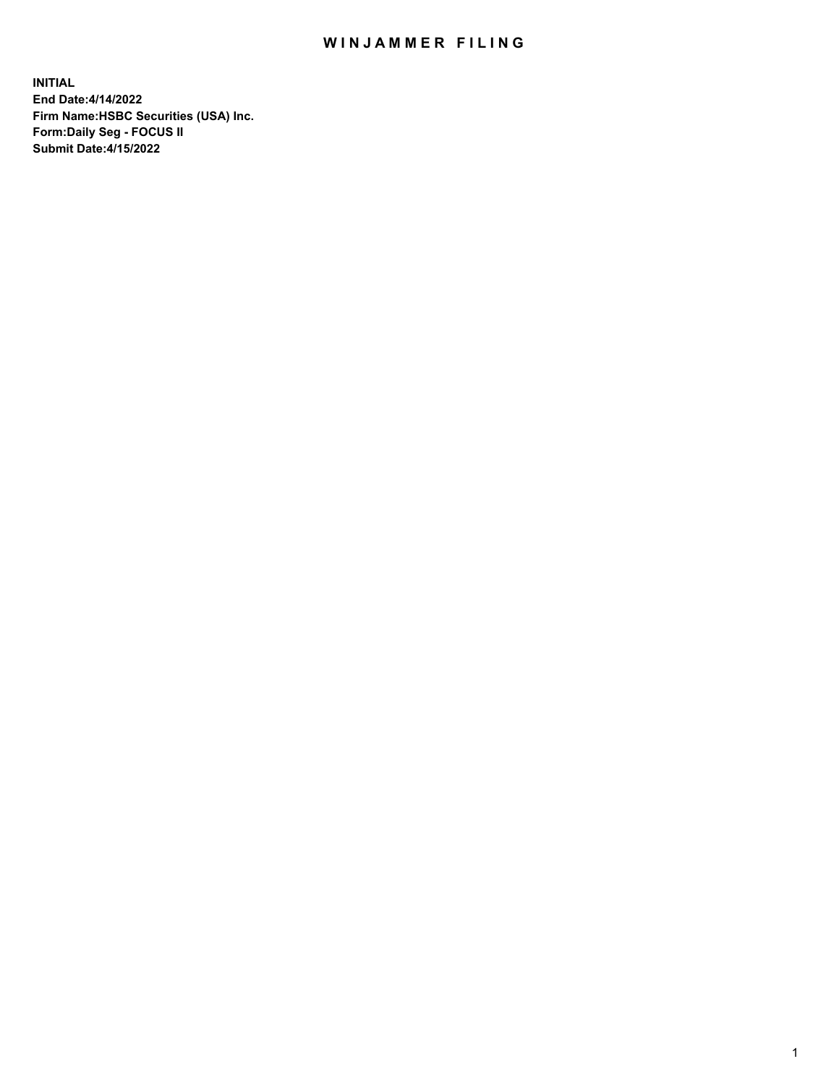## WIN JAMMER FILING

**INITIAL End Date:4/14/2022 Firm Name:HSBC Securities (USA) Inc. Form:Daily Seg - FOCUS II Submit Date:4/15/2022**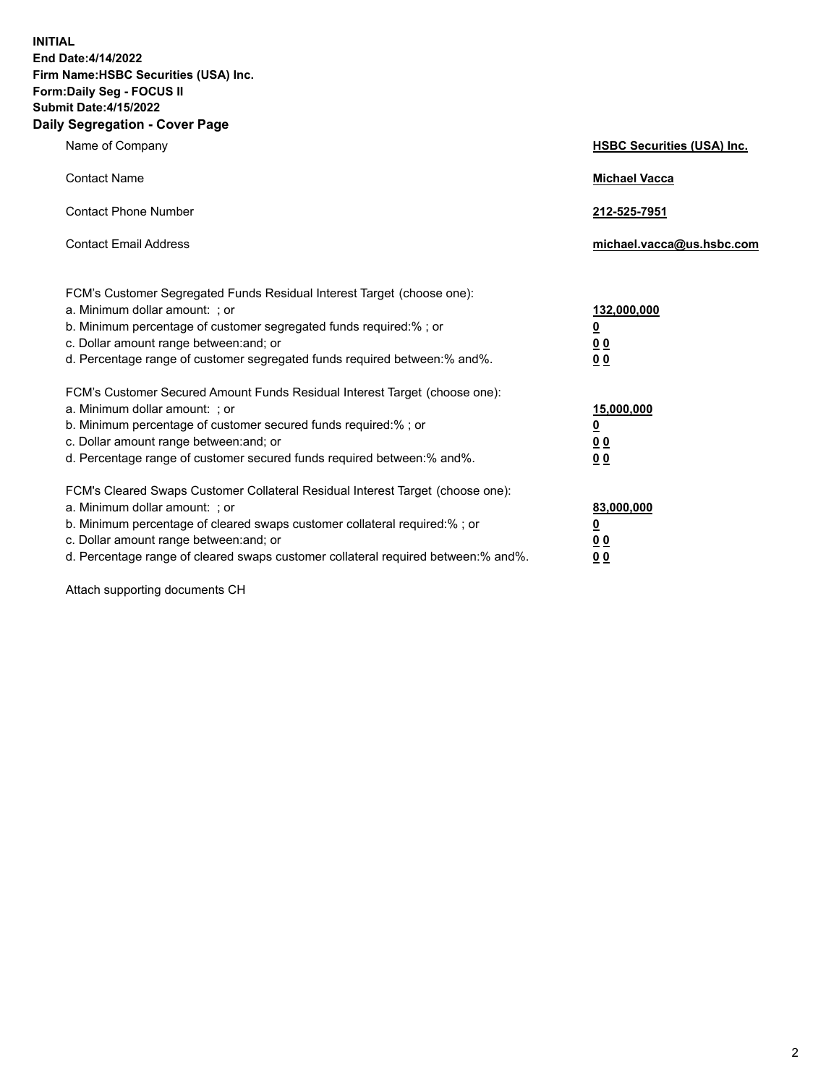**INITIAL End Date:4/14/2022 Firm Name:HSBC Securities (USA) Inc. Form:Daily Seg - FOCUS II Submit Date:4/15/2022 Daily Segregation - Cover Page**

| Name of Company                                                                                                                                                                                                                                                                                                                | <b>HSBC Securities (USA) Inc.</b>                          |
|--------------------------------------------------------------------------------------------------------------------------------------------------------------------------------------------------------------------------------------------------------------------------------------------------------------------------------|------------------------------------------------------------|
| <b>Contact Name</b>                                                                                                                                                                                                                                                                                                            | <b>Michael Vacca</b>                                       |
| <b>Contact Phone Number</b>                                                                                                                                                                                                                                                                                                    | 212-525-7951                                               |
| <b>Contact Email Address</b>                                                                                                                                                                                                                                                                                                   | michael.vacca@us.hsbc.com                                  |
| FCM's Customer Segregated Funds Residual Interest Target (choose one):<br>a. Minimum dollar amount: ; or<br>b. Minimum percentage of customer segregated funds required:%; or<br>c. Dollar amount range between: and; or<br>d. Percentage range of customer segregated funds required between: % and %.                        | 132,000,000<br><u>0</u><br>00<br>0 <sub>0</sub>            |
| FCM's Customer Secured Amount Funds Residual Interest Target (choose one):<br>a. Minimum dollar amount: ; or<br>b. Minimum percentage of customer secured funds required:%; or<br>c. Dollar amount range between: and; or<br>d. Percentage range of customer secured funds required between: % and %.                          | 15,000,000<br><u>0</u><br>0 <sub>0</sub><br>0 <sub>0</sub> |
| FCM's Cleared Swaps Customer Collateral Residual Interest Target (choose one):<br>a. Minimum dollar amount: ; or<br>b. Minimum percentage of cleared swaps customer collateral required:% ; or<br>c. Dollar amount range between: and; or<br>d. Percentage range of cleared swaps customer collateral required between:% and%. | 83,000,000<br><u>0</u><br><u>00</u><br>00                  |

Attach supporting documents CH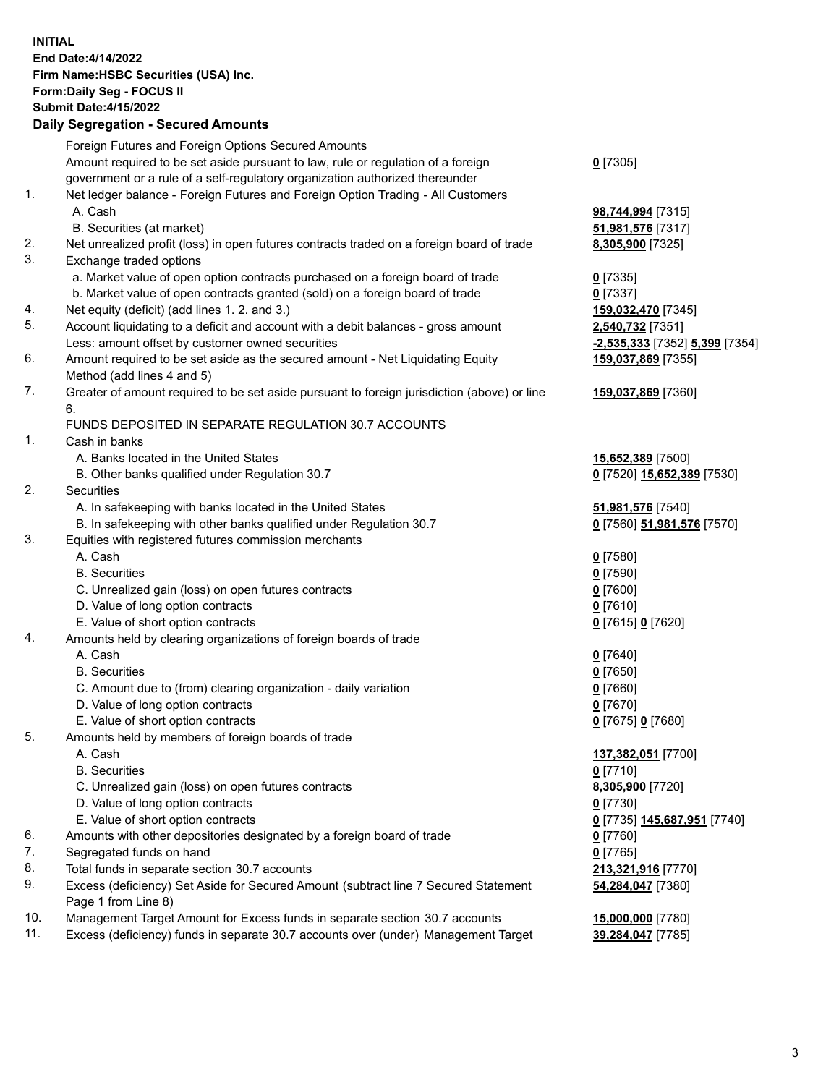**INITIAL End Date:4/14/2022 Firm Name:HSBC Securities (USA) Inc. Form:Daily Seg - FOCUS II Submit Date:4/15/2022 Daily Segregation - Secured Amounts** Foreign Futures and Foreign Options Secured Amounts Amount required to be set aside pursuant to law, rule or regulation of a foreign government or a rule of a self-regulatory organization authorized thereunder **0** [7305] 1. Net ledger balance - Foreign Futures and Foreign Option Trading - All Customers A. Cash **98,744,994** [7315] B. Securities (at market) **51,981,576** [7317] 2. Net unrealized profit (loss) in open futures contracts traded on a foreign board of trade **8,305,900** [7325] 3. Exchange traded options a. Market value of open option contracts purchased on a foreign board of trade **0** [7335] b. Market value of open contracts granted (sold) on a foreign board of trade **0** [7337] 4. Net equity (deficit) (add lines 1. 2. and 3.) **159,032,470** [7345] 5. Account liquidating to a deficit and account with a debit balances - gross amount **2,540,732** [7351] Less: amount offset by customer owned securities **-2,535,333** [7352] **5,399** [7354] 6. Amount required to be set aside as the secured amount - Net Liquidating Equity Method (add lines 4 and 5) **159,037,869** [7355] 7. Greater of amount required to be set aside pursuant to foreign jurisdiction (above) or line 6. **159,037,869** [7360] FUNDS DEPOSITED IN SEPARATE REGULATION 30.7 ACCOUNTS 1. Cash in banks A. Banks located in the United States **15,652,389** [7500] B. Other banks qualified under Regulation 30.7 **0** [7520] **15,652,389** [7530] 2. Securities A. In safekeeping with banks located in the United States **51,981,576** [7540] B. In safekeeping with other banks qualified under Regulation 30.7 **0** [7560] **51,981,576** [7570] 3. Equities with registered futures commission merchants A. Cash **0** [7580] B. Securities **0** [7590] C. Unrealized gain (loss) on open futures contracts **0** [7600] D. Value of long option contracts **0** [7610] E. Value of short option contracts **0** [7615] **0** [7620] 4. Amounts held by clearing organizations of foreign boards of trade A. Cash **0** [7640] B. Securities **0** [7650] C. Amount due to (from) clearing organization - daily variation **0** [7660] D. Value of long option contracts **0** [7670] E. Value of short option contracts **0** [7675] **0** [7680] 5. Amounts held by members of foreign boards of trade A. Cash **137,382,051** [7700] B. Securities **0** [7710] C. Unrealized gain (loss) on open futures contracts **8,305,900** [7720] D. Value of long option contracts **0** [7730] E. Value of short option contracts **0** [7735] **145,687,951** [7740] 6. Amounts with other depositories designated by a foreign board of trade **0** [7760] 7. Segregated funds on hand **0** [7765]

- 8. Total funds in separate section 30.7 accounts **213,321,916** [7770]
- 9. Excess (deficiency) Set Aside for Secured Amount (subtract line 7 Secured Statement Page 1 from Line 8)
- 10. Management Target Amount for Excess funds in separate section 30.7 accounts **15,000,000** [7780]
- 11. Excess (deficiency) funds in separate 30.7 accounts over (under) Management Target **39,284,047** [7785]

**54,284,047** [7380]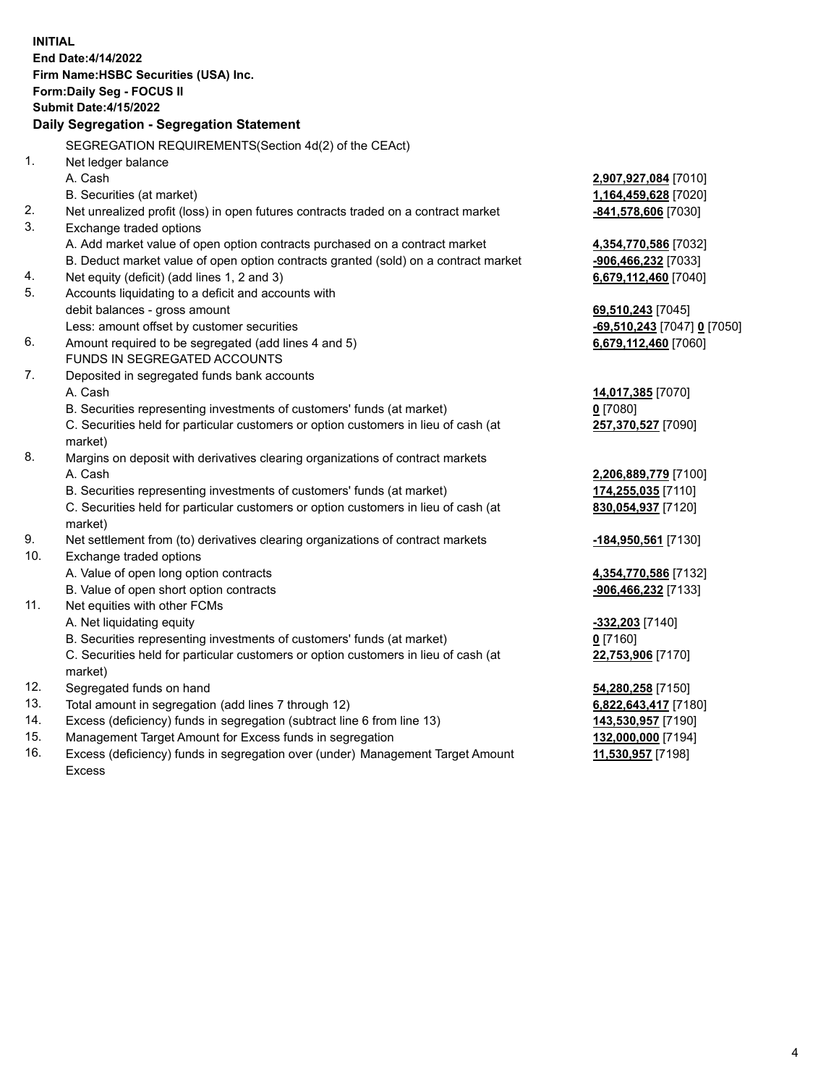**INITIAL End Date:4/14/2022 Firm Name:HSBC Securities (USA) Inc. Form:Daily Seg - FOCUS II Submit Date:4/15/2022 Daily Segregation - Segregation Statement** SEGREGATION REQUIREMENTS(Section 4d(2) of the CEAct) 1. Net ledger balance A. Cash **2,907,927,084** [7010] B. Securities (at market) **1,164,459,628** [7020] 2. Net unrealized profit (loss) in open futures contracts traded on a contract market **-841,578,606** [7030] 3. Exchange traded options A. Add market value of open option contracts purchased on a contract market **4,354,770,586** [7032] B. Deduct market value of open option contracts granted (sold) on a contract market **-906,466,232** [7033] 4. Net equity (deficit) (add lines 1, 2 and 3) **6,679,112,460** [7040] 5. Accounts liquidating to a deficit and accounts with debit balances - gross amount **69,510,243** [7045] Less: amount offset by customer securities **-69,510,243** [7047] **0** [7050] 6. Amount required to be segregated (add lines 4 and 5) **6,679,112,460** [7060] FUNDS IN SEGREGATED ACCOUNTS 7. Deposited in segregated funds bank accounts A. Cash **14,017,385** [7070] B. Securities representing investments of customers' funds (at market) **0** [7080] C. Securities held for particular customers or option customers in lieu of cash (at market) **257,370,527** [7090] 8. Margins on deposit with derivatives clearing organizations of contract markets A. Cash **2,206,889,779** [7100] B. Securities representing investments of customers' funds (at market) **174,255,035** [7110] C. Securities held for particular customers or option customers in lieu of cash (at market) **830,054,937** [7120] 9. Net settlement from (to) derivatives clearing organizations of contract markets **-184,950,561** [7130] 10. Exchange traded options A. Value of open long option contracts **4,354,770,586** [7132] B. Value of open short option contracts **-906,466,232** [7133] 11. Net equities with other FCMs A. Net liquidating equity **-332,203** [7140] B. Securities representing investments of customers' funds (at market) **0** [7160] C. Securities held for particular customers or option customers in lieu of cash (at market) **22,753,906** [7170] 12. Segregated funds on hand **54,280,258** [7150] 13. Total amount in segregation (add lines 7 through 12) **6,822,643,417** [7180] 14. Excess (deficiency) funds in segregation (subtract line 6 from line 13) **143,530,957** [7190] 15. Management Target Amount for Excess funds in segregation **132,000,000** [7194]

16. Excess (deficiency) funds in segregation over (under) Management Target Amount Excess

**11,530,957** [7198]